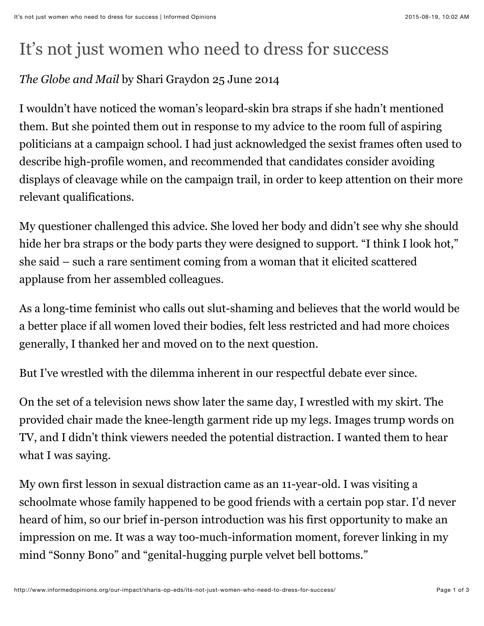## It's not just women who need to dress for success

## *The Globe and Mail* by Shari Graydon 25 June 2014

I wouldn't have noticed the woman's leopard-skin bra straps if she hadn't mentioned them. But she pointed them out in response to my advice to the room full of aspiring politicians at a campaign school. I had just acknowledged the sexist frames often used to describe high-profile women, and recommended that candidates consider avoiding displays of cleavage while on the campaign trail, in order to keep attention on their more relevant qualifications.

My questioner challenged this advice. She loved her body and didn't see why she should hide her bra straps or the body parts they were designed to support. "I think I look hot," she said – such a rare sentiment coming from a woman that it elicited scattered applause from her assembled colleagues.

As a long-time feminist who calls out slut-shaming and believes that the world would be a better place if all women loved their bodies, felt less restricted and had more choices generally, I thanked her and moved on to the next question.

But I've wrestled with the dilemma inherent in our respectful debate ever since.

On the set of a television news show later the same day, I wrestled with my skirt. The provided chair made the knee-length garment ride up my legs. Images trump words on TV, and I didn't think viewers needed the potential distraction. I wanted them to hear what I was saying.

My own first lesson in sexual distraction came as an 11-year-old. I was visiting a schoolmate whose family happened to be good friends with a certain pop star. I'd never heard of him, so our brief in-person introduction was his first opportunity to make an impression on me. It was a way too-much-information moment, forever linking in my mind "Sonny Bono" and "genital-hugging purple velvet bell bottoms."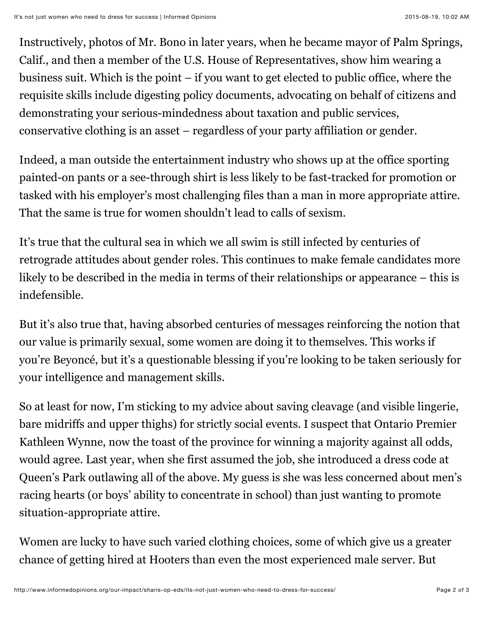Instructively, photos of Mr. Bono in later years, when he became mayor of Palm Springs, Calif., and then a member of the U.S. House of Representatives, show him wearing a business suit. Which is the point – if you want to get elected to public office, where the requisite skills include digesting policy documents, advocating on behalf of citizens and demonstrating your serious-mindedness about taxation and public services, conservative clothing is an asset – regardless of your party affiliation or gender.

Indeed, a man outside the entertainment industry who shows up at the office sporting painted-on pants or a see-through shirt is less likely to be fast-tracked for promotion or tasked with his employer's most challenging files than a man in more appropriate attire. That the same is true for women shouldn't lead to calls of sexism.

It's true that the cultural sea in which we all swim is still infected by centuries of retrograde attitudes about gender roles. This continues to make female candidates more likely to be described in the media in terms of their relationships or appearance – this is indefensible.

But it's also true that, having absorbed centuries of messages reinforcing the notion that our value is primarily sexual, some women are doing it to themselves. This works if you're Beyoncé, but it's a questionable blessing if you're looking to be taken seriously for your intelligence and management skills.

So at least for now, I'm sticking to my advice about saving cleavage (and visible lingerie, bare midriffs and upper thighs) for strictly social events. I suspect that Ontario Premier Kathleen Wynne, now the toast of the province for winning a majority against all odds, would agree. Last year, when she first assumed the job, she introduced a dress code at Queen's Park outlawing all of the above. My guess is she was less concerned about men's racing hearts (or boys' ability to concentrate in school) than just wanting to promote situation-appropriate attire.

Women are lucky to have such varied clothing choices, some of which give us a greater chance of getting hired at Hooters than even the most experienced male server. But